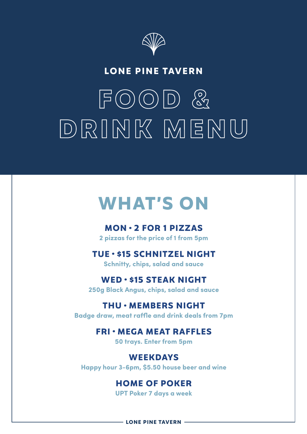

# **LONE PINE TAVERN**

# **FOOD & DRINK MENU**

# **WHAT'S ON**

**MON • 2 FOR 1 PIZZAS 2 pizzas for the price of 1 from 5pm**

# **TUE • \$15 SCHNITZEL NIGHT**

**Schnitty, chips, salad and sauce**

# **WED • \$15 STEAK NIGHT**

**250g Black Angus, chips, salad and sauce**

# **THU • MEMBERS NIGHT**

**Badge draw, meat raffle and drink deals from 7pm**

# **FRI • MEGA MEAT RAFFLES**

**50 trays. Enter from 5pm**

**WEEKDAYS Happy hour 3-6pm, \$5.50 house beer and wine**

# **HOME OF POKER**

**UPT Poker 7 days a week**

**LONE PINE TAVERN -**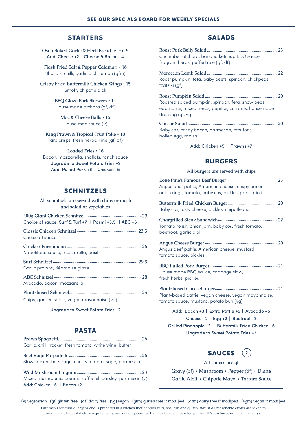#### **SEE OUR SPECIALS BOARD FOR WEEKLY SPECIALS**

#### **STARTERS**

**Oven Baked Garlic & Herb Bread** (v) **• 6.5** Add: Cheese +2 | Cheese & Bacon +4

**Flash Fried Salt & Pepper Calamari • 16** Shallots, chilli, garlic aioli, lemon (gfm)

**Crispy Fried Buttermilk Chicken Wings • 15** Smoky chipotle aioli

> **BBQ Glaze Pork Skewers • 14** House made atchara (gf, df)

**Mac & Cheese Balls • 15** House mac sauce (v)

**King Prawn & Tropical Fruit Poke • 18** Taro crisps, fresh herbs, lime (gf, df)

**Loaded Fries • 16** Bacon, mozzarella, shallots, ranch sauce Upgrade to Sweet Potato Fries +2 Add: Pulled Pork +6 | Chicken +5

#### **SCHNITZELS**

**All schnitzels are served with chips or mash and salad or vegetables**

| Choice of sauce Surf & Turf +7   Parmi +3.5   ABC +6 |
|------------------------------------------------------|
| Choice of squce                                      |
| Napolitana sauce, mozzarella, basil                  |
| Garlic prawns, Béarnaise glaze                       |
| Avocado, bacon, mozzarella                           |
| Chips, garden salad, vegan mayonnaise (vg)           |

Upgrade to Sweet Potato Fries +2

#### **PASTA**

| Garlic, chilli, rocket, fresh tomato, white wine, butter |  |
|----------------------------------------------------------|--|
|                                                          |  |
| Slow cooked beef ragu, cherry tomato, sage, parmesan     |  |

**Wild Mushroom Linguini............................................................23** Mixed mushrooms, cream, truffle oil, parsley, parmesan (v) Add: Chicken +5 | Bacon +2

#### **SALADS**

| Cucumber atchara, banana ketchup BBQ sauce,<br>fragrant herbs, puffed rice (gf, df)                                          | 23 |
|------------------------------------------------------------------------------------------------------------------------------|----|
| . 22<br>Roast pumpkin, feta, baby beets, spinach, chickpeas,<br>tzatziki (gf)                                                |    |
| Roasted spiced pumpkin, spinach, feta, snow peas,<br>edamame, mixed herbs, pepitas, currants, housemade<br>dressing (gf, vg) |    |
| 20<br>Baby cos, crispy bacon, parmesan, croutons,<br>boiled egg, radish                                                      |    |
| Add: Chicken +5   Prawns +7                                                                                                  |    |

#### **BURGERS**

**All burgers are served with chips**

| Angus beef pattie, American cheese, crispy bacon,<br>onion rings, tomato, baby cos, pickles, garlic aioli                                                                         |
|-----------------------------------------------------------------------------------------------------------------------------------------------------------------------------------|
| Baby cos, tasty cheese, pickles, chipotle aioli                                                                                                                                   |
| Tomato relish, onion jam, baby cos, fresh tomato,<br>beetroot, garlic aioli                                                                                                       |
| Angus beef pattie, American cheese, mustard,<br>tomato sauce, pickles                                                                                                             |
| House made BBQ sauce, cabbage slaw,<br>fresh herbs, pickles                                                                                                                       |
| Plant-based pattie, vegan cheese, vegan mayonnaise,<br>tomato sauce, mustard, potato bun (vg)                                                                                     |
| Add: Bacon +3   Extra Pattie +5   Avocado +5<br>Cheese +2   Egg +2   Beetroot +2<br>Grilled Pineapple +2   Buttermilk Fried Chicken +5<br><b>Upgrade to Sweet Potato Fries +2</b> |



**All sauces are gf**

**Gravy** (df) **• Mushroom • Pepper** (df) **• Diane Garlic Aioli • Chipotle Mayo • Tartare Sauce**

**(v) vegetarian (gf) gluten free (df) dairy free (vg) vegan (gfm) gluten free if modified (dfm) dairy free if modified (vgm) vegan if modified** Our menu contains allergens and is prepared in a kitchen that handles nuts, shellfish and gluten. Whilst all reasonable efforts are taken to accommodate guest dietary requirements, we cannot guarantee that our food will be allergen free. 10% surcharge on public holidays.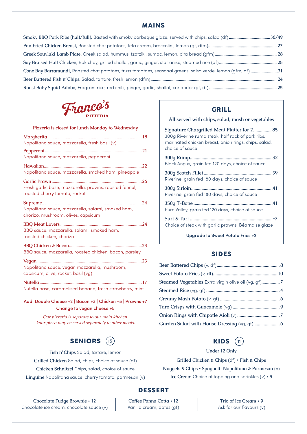#### **MAINS**

| Cone Bay Barramundi, Roasted chat potatoes, truss tomatoes, seasonal greens, salsa verde, lemon (gfm, df) 31 |  |
|--------------------------------------------------------------------------------------------------------------|--|
|                                                                                                              |  |
|                                                                                                              |  |



**Pizzeria is closed for lunch Monday to Wednesday**

| Napolitana sauce, mozzarella, fresh basil (v)                                            |
|------------------------------------------------------------------------------------------|
| Napolitana sauce, mozzarella, pepperoni                                                  |
| Napolitana sauce, mozzarella, smoked ham, pineapple                                      |
| Fresh garlic base, mozzarella, prawns, roasted fennel,<br>roasted cherry tomato, rocket  |
| Napolitana sauce, mozzarella, salami, smoked ham,<br>chorizo, mushroom, olives, capsicum |
| BBQ sauce, mozzarella, salami, smoked ham,<br>roasted chicken, chorizo                   |
| BBQ sauce, mozzarella, roasted chicken, bacon, parsley                                   |
| Napolitana sauce, vegan mozzarella, mushroom,<br>capsicum, olive, rocket, basil (vg)     |
| Nutella base, caramelised banana, fresh strawberry, mint                                 |

Add: Double Cheese +2 | Bacon +3 | Chicken +5 | Prawns +7 Change to vegan cheese +5

> *Our pizzeria is separate to our main kitchen. Your pizza may be served separately to other meals.*

#### **SENIORS** (15)

**Fish n' Chips** Salad, tartare, lemon

**Grilled Chicken** Salad, chips, choice of sauce (df)

**Chicken Schnitzel** Chips, salad, choice of sauce

**Linguine** Napolitana sauce, cherry tomato, parmesan (v)

#### **GRILL**

**All served with chips, salad, mash or vegetables**

**Signature Chargrilled Meat Platter for 2................ 85** 300g Riverine rump steak, half rack of pork ribs, marinated chicken breast, onion rings, chips, salad, choice of sauce

| Black Angus, grain fed 120 days, choice of sauce |  |
|--------------------------------------------------|--|
| Riverine, grain fed 180 days, choice of sauce    |  |
| Riverine, grain fed 180 days, choice of sauce    |  |
| Pure Valley, grain fed 120 days, choice of sauce |  |
|                                                  |  |

Choice of steak with garlic prawns, Béarnaise glaze

Upgrade to Sweet Potato Fries +2

#### **SIDES**

| Steamed Vegetables Extra virgin olive oil (vg, gf)7 |  |
|-----------------------------------------------------|--|
|                                                     |  |
|                                                     |  |
|                                                     |  |
|                                                     |  |
|                                                     |  |

### 15) **KIDS** (11

#### **Under 12 Only**

**Grilled Chicken & Chips** (df) **• Fish & Chips**

**Nuggets & Chips • Spaghetti Napolitana & Parmesan** (v) **Ice Cream** Choice of topping and sprinkles (v) **• 5**

#### **DESSERT**

**Chocolate Fudge Brownie • 12** Chocolate ice cream, chocolate sauce (v)

**Coffee Panna Cotta • 12** Vanilla cream, dates (gf)

**Trio of Ice Cream • 9** Ask for our flavours (v)